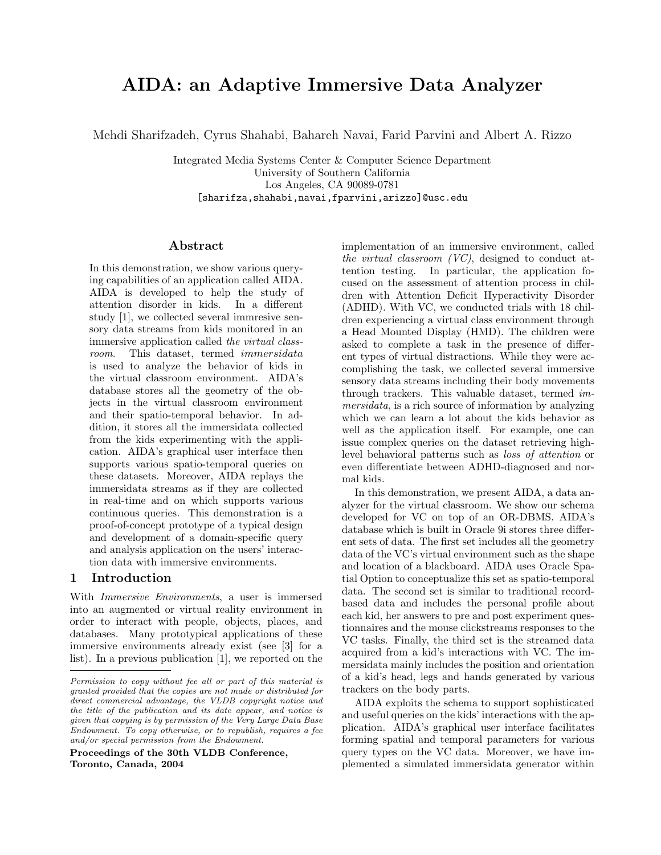# AIDA: an Adaptive Immersive Data Analyzer

Mehdi Sharifzadeh, Cyrus Shahabi, Bahareh Navai, Farid Parvini and Albert A. Rizzo

Integrated Media Systems Center & Computer Science Department University of Southern California Los Angeles, CA 90089-0781 [sharifza,shahabi,navai,fparvini,arizzo]@usc.edu

### Abstract

In this demonstration, we show various querying capabilities of an application called AIDA. AIDA is developed to help the study of attention disorder in kids. In a different study [1], we collected several immresive sensory data streams from kids monitored in an immersive application called the virtual classroom. This dataset, termed immersidata is used to analyze the behavior of kids in the virtual classroom environment. AIDA's database stores all the geometry of the objects in the virtual classroom environment and their spatio-temporal behavior. In addition, it stores all the immersidata collected from the kids experimenting with the application. AIDA's graphical user interface then supports various spatio-temporal queries on these datasets. Moreover, AIDA replays the immersidata streams as if they are collected in real-time and on which supports various continuous queries. This demonstration is a proof-of-concept prototype of a typical design and development of a domain-specific query and analysis application on the users' interaction data with immersive environments.

## 1 Introduction

With *Immersive Environments*, a user is immersed into an augmented or virtual reality environment in order to interact with people, objects, places, and databases. Many prototypical applications of these immersive environments already exist (see [3] for a list). In a previous publication [1], we reported on the

Proceedings of the 30th VLDB Conference, Toronto, Canada, 2004

implementation of an immersive environment, called the virtual classroom (VC), designed to conduct attention testing. In particular, the application focused on the assessment of attention process in children with Attention Deficit Hyperactivity Disorder (ADHD). With VC, we conducted trials with 18 children experiencing a virtual class environment through a Head Mounted Display (HMD). The children were asked to complete a task in the presence of different types of virtual distractions. While they were accomplishing the task, we collected several immersive sensory data streams including their body movements through trackers. This valuable dataset, termed immersidata, is a rich source of information by analyzing which we can learn a lot about the kids behavior as well as the application itself. For example, one can issue complex queries on the dataset retrieving highlevel behavioral patterns such as loss of attention or even differentiate between ADHD-diagnosed and normal kids.

In this demonstration, we present AIDA, a data analyzer for the virtual classroom. We show our schema developed for VC on top of an OR-DBMS. AIDA's database which is built in Oracle 9i stores three different sets of data. The first set includes all the geometry data of the VC's virtual environment such as the shape and location of a blackboard. AIDA uses Oracle Spatial Option to conceptualize this set as spatio-temporal data. The second set is similar to traditional recordbased data and includes the personal profile about each kid, her answers to pre and post experiment questionnaires and the mouse clickstreams responses to the VC tasks. Finally, the third set is the streamed data acquired from a kid's interactions with VC. The immersidata mainly includes the position and orientation of a kid's head, legs and hands generated by various trackers on the body parts.

AIDA exploits the schema to support sophisticated and useful queries on the kids' interactions with the application. AIDA's graphical user interface facilitates forming spatial and temporal parameters for various query types on the VC data. Moreover, we have implemented a simulated immersidata generator within

Permission to copy without fee all or part of this material is granted provided that the copies are not made or distributed for direct commercial advantage, the VLDB copyright notice and the title of the publication and its date appear, and notice is given that copying is by permission of the Very Large Data Base Endowment. To copy otherwise, or to republish, requires a fee and/or special permission from the Endowment.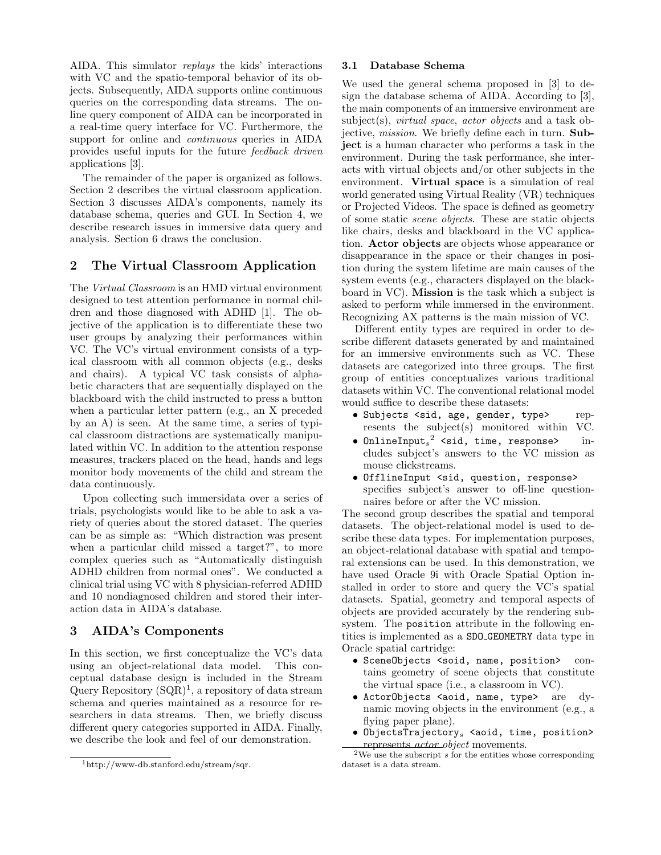AIDA. This simulator replays the kids' interactions with VC and the spatio-temporal behavior of its objects. Subsequently, AIDA supports online continuous queries on the corresponding data streams. The online query component of AIDA can be incorporated in a real-time query interface for VC. Furthermore, the support for online and *continuous* queries in AIDA provides useful inputs for the future feedback driven applications [3].

The remainder of the paper is organized as follows. Section 2 describes the virtual classroom application. Section 3 discusses AIDA's components, namely its database schema, queries and GUI. In Section 4, we describe research issues in immersive data query and analysis. Section 6 draws the conclusion.

# 2 The Virtual Classroom Application

The Virtual Classroom is an HMD virtual environment designed to test attention performance in normal children and those diagnosed with ADHD [1]. The objective of the application is to differentiate these two user groups by analyzing their performances within VC. The VC's virtual environment consists of a typical classroom with all common objects (e.g., desks and chairs). A typical VC task consists of alphabetic characters that are sequentially displayed on the blackboard with the child instructed to press a button when a particular letter pattern (e.g., an X preceded by an A) is seen. At the same time, a series of typical classroom distractions are systematically manipulated within VC. In addition to the attention response measures, trackers placed on the head, hands and legs monitor body movements of the child and stream the data continuously.

Upon collecting such immersidata over a series of trials, psychologists would like to be able to ask a variety of queries about the stored dataset. The queries can be as simple as: "Which distraction was present when a particular child missed a target?", to more complex queries such as "Automatically distinguish ADHD children from normal ones". We conducted a clinical trial using VC with 8 physician-referred ADHD and 10 nondiagnosed children and stored their interaction data in AIDA's database.

# 3 AIDA's Components

In this section, we first conceptualize the VC's data using an object-relational data model. This conceptual database design is included in the Stream Query Repository  $(SQR)^1$ , a repository of data stream schema and queries maintained as a resource for researchers in data streams. Then, we briefly discuss different query categories supported in AIDA. Finally, we describe the look and feel of our demonstration.

#### 3.1 Database Schema

We used the general schema proposed in [3] to design the database schema of AIDA. According to [3], the main components of an immersive environment are subject(s), *virtual space*, *actor objects* and a task objective, *mission*. We briefly define each in turn. **Sub**ject is a human character who performs a task in the environment. During the task performance, she interacts with virtual objects and/or other subjects in the environment. Virtual space is a simulation of real world generated using Virtual Reality (VR) techniques or Projected Videos. The space is defined as geometry of some static scene objects. These are static objects like chairs, desks and blackboard in the VC application. Actor objects are objects whose appearance or disappearance in the space or their changes in position during the system lifetime are main causes of the system events (e.g., characters displayed on the blackboard in VC). Mission is the task which a subject is asked to perform while immersed in the environment. Recognizing AX patterns is the main mission of VC.

Different entity types are required in order to describe different datasets generated by and maintained for an immersive environments such as VC. These datasets are categorized into three groups. The first group of entities conceptualizes various traditional datasets within VC. The conventional relational model would suffice to describe these datasets:

- Subjects <sid, age, gender, type> represents the subject(s) monitored within VC.
- OnlineInput $s^2$  <sid, time, response> includes subject's answers to the VC mission as mouse clickstreams.
- OfflineInput <sid, question, response> specifies subject's answer to off-line questionnaires before or after the VC mission.

The second group describes the spatial and temporal datasets. The object-relational model is used to describe these data types. For implementation purposes, an object-relational database with spatial and temporal extensions can be used. In this demonstration, we have used Oracle 9i with Oracle Spatial Option installed in order to store and query the VC's spatial datasets. Spatial, geometry and temporal aspects of objects are provided accurately by the rendering subsystem. The position attribute in the following entities is implemented as a SDO GEOMETRY data type in Oracle spatial cartridge:

- SceneObjects <soid, name, position> contains geometry of scene objects that constitute the virtual space (i.e., a classroom in VC).
- ActorObjects <aoid, name, type> are dynamic moving objects in the environment (e.g., a flying paper plane).
- $\bullet$  ObjectsTrajectory $_s$  <aoid, time, position> represents actor object movements.

<sup>1</sup>http://www-db.stanford.edu/stream/sqr.

 $2\overline{We}$  use the subscript s for the entities whose corresponding dataset is a data stream.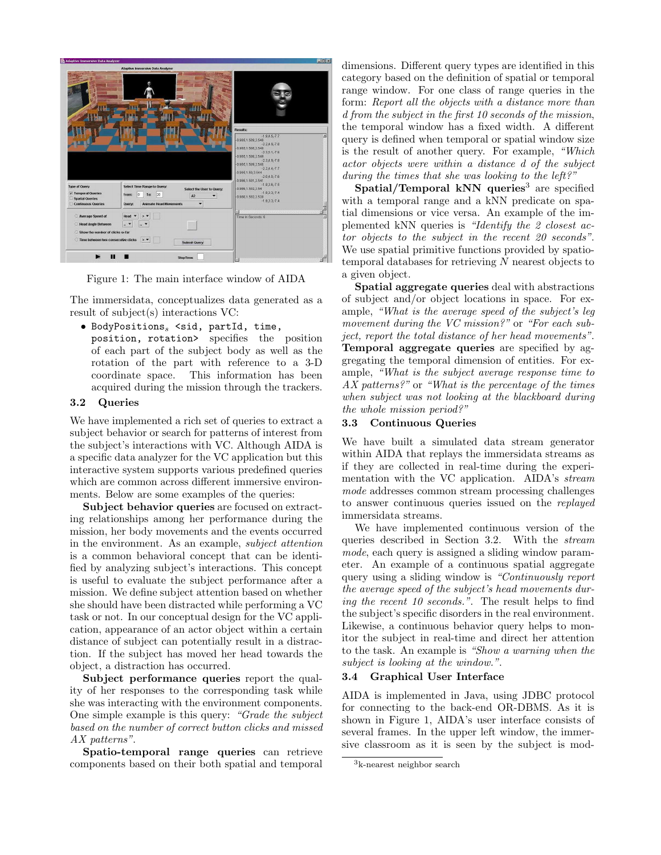|                                                                                                                   | Adaptive Immersive Data Analyzer                                                                                                                       |                                                                                                                                                                                                                                                                                                                      |
|-------------------------------------------------------------------------------------------------------------------|--------------------------------------------------------------------------------------------------------------------------------------------------------|----------------------------------------------------------------------------------------------------------------------------------------------------------------------------------------------------------------------------------------------------------------------------------------------------------------------|
|                                                                                                                   |                                                                                                                                                        | <b>Results:</b><br>$-1.9.4.5 - 7.7$<br>ы<br>$-0.985,1.589,3.548$<br>$-2.2.49 - 7.8$                                                                                                                                                                                                                                  |
| <b>Type of Query</b><br><b>Z</b> Temporal Queries<br>Spatial Queries<br>Continuous Queries                        | Select Time Range to Query:<br>Select the User to Query:<br>20<br>From:<br>ln<br>To:<br>A <sub>2</sub><br><b>Animate Head Movements</b><br>Query:<br>۰ | $-0.985, 1.588, 3.549$<br>$-2.3.5.1 - 7.8$<br>$-0.985,1.588,3.549$<br>$-2.3.4.9 - 7.8$<br>$-0.965.1.589.3.546$<br>$-2.2.4.4 - 7.7$<br>$-0.985, 1.59, 3.544$<br>$-2.0, 4.0, -7.8$<br>$-0.986, 1.591, 3.541$<br>$-1.9, 3.8, -7.5$<br>-0.966,1.592,3.54<br>$-1.9, 3.3, -7.4$<br>-0.966,1.592,3.538<br>$-1.9, 3.3, -7.4$ |
| Average Speed of<br>Head Angle Between<br>Show the number of clicks so far<br>Time between two consecutive clicks | Head<br>×<br><b>.</b><br><br>><br><b>Submit Query</b>                                                                                                  | 87<br>Time In Seconds: 6                                                                                                                                                                                                                                                                                             |

Figure 1: The main interface window of AIDA

The immersidata, conceptualizes data generated as a result of subject(s) interactions VC:

```
\bullet BodyPositions, \lesid, partId, time,
```
position, rotation> specifies the position of each part of the subject body as well as the rotation of the part with reference to a 3-D coordinate space. This information has been acquired during the mission through the trackers.

#### 3.2 Queries

We have implemented a rich set of queries to extract a subject behavior or search for patterns of interest from the subject's interactions with VC. Although AIDA is a specific data analyzer for the VC application but this interactive system supports various predefined queries which are common across different immersive environments. Below are some examples of the queries:

Subject behavior queries are focused on extracting relationships among her performance during the mission, her body movements and the events occurred in the environment. As an example, subject attention is a common behavioral concept that can be identified by analyzing subject's interactions. This concept is useful to evaluate the subject performance after a mission. We define subject attention based on whether she should have been distracted while performing a VC task or not. In our conceptual design for the VC application, appearance of an actor object within a certain distance of subject can potentially result in a distraction. If the subject has moved her head towards the object, a distraction has occurred.

Subject performance queries report the quality of her responses to the corresponding task while she was interacting with the environment components. One simple example is this query: "Grade the subject based on the number of correct button clicks and missed AX patterns".

Spatio-temporal range queries can retrieve components based on their both spatial and temporal dimensions. Different query types are identified in this category based on the definition of spatial or temporal range window. For one class of range queries in the form: Report all the objects with a distance more than d from the subject in the first 10 seconds of the mission, the temporal window has a fixed width. A different query is defined when temporal or spatial window size is the result of another query. For example, "Which actor objects were within a distance d of the subject during the times that she was looking to the left?"

Spatial/Temporal kNN queries<sup>3</sup> are specified with a temporal range and a kNN predicate on spatial dimensions or vice versa. An example of the implemented kNN queries is "Identify the 2 closest actor objects to the subject in the recent 20 seconds". We use spatial primitive functions provided by spatiotemporal databases for retrieving N nearest objects to a given object.

Spatial aggregate queries deal with abstractions of subject and/or object locations in space. For example, "What is the average speed of the subject's leg movement during the VC mission?" or "For each subject, report the total distance of her head movements". Temporal aggregate queries are specified by aggregating the temporal dimension of entities. For example, "What is the subject average response time to AX patterns?" or "What is the percentage of the times when subject was not looking at the blackboard during the whole mission period?"

### 3.3 Continuous Queries

We have built a simulated data stream generator within AIDA that replays the immersidata streams as if they are collected in real-time during the experimentation with the VC application. AIDA's stream mode addresses common stream processing challenges to answer continuous queries issued on the replayed immersidata streams.

We have implemented continuous version of the queries described in Section 3.2. With the stream mode, each query is assigned a sliding window parameter. An example of a continuous spatial aggregate query using a sliding window is "Continuously report the average speed of the subject's head movements during the recent 10 seconds.". The result helps to find the subject's specific disorders in the real environment. Likewise, a continuous behavior query helps to monitor the subject in real-time and direct her attention to the task. An example is "Show a warning when the subject is looking at the window.".

## 3.4 Graphical User Interface

AIDA is implemented in Java, using JDBC protocol for connecting to the back-end OR-DBMS. As it is shown in Figure 1, AIDA's user interface consists of several frames. In the upper left window, the immersive classroom as it is seen by the subject is mod-

<sup>3</sup>k-nearest neighbor search